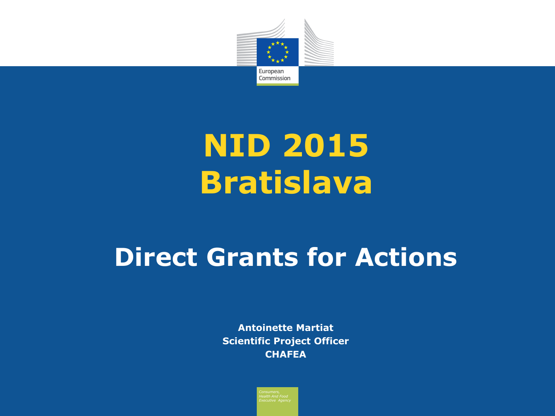

# **NID 2015 Bratislava**

### **Direct Grants for Actions**

**Antoinette Martiat Scientific Project Officer CHAFEA**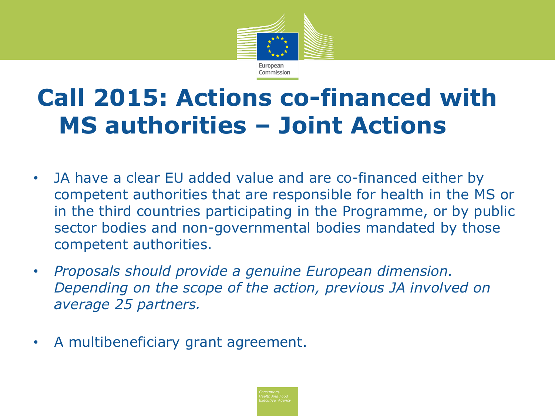

### **Call 2015: Actions co-financed with MS authorities – Joint Actions**

- JA have a clear EU added value and are co-financed either by competent authorities that are responsible for health in the MS or in the third countries participating in the Programme, or by public sector bodies and non-governmental bodies mandated by those competent authorities.
- *Proposals should provide a genuine European dimension. Depending on the scope of the action, previous JA involved on average 25 partners.*
- A multibeneficiary grant agreement.

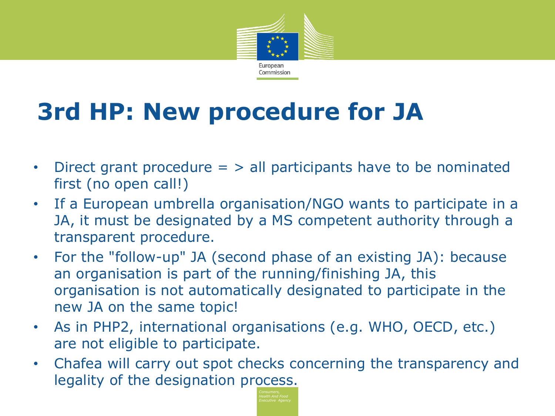

## **3rd HP: New procedure for JA**

- Direct grant procedure = > all participants have to be nominated first (no open call!)
- If a European umbrella organisation/NGO wants to participate in a JA, it must be designated by a MS competent authority through a transparent procedure.
- For the "follow-up" JA (second phase of an existing JA): because an organisation is part of the running/finishing JA, this organisation is not automatically designated to participate in the new JA on the same topic!
- As in PHP2, international organisations (e.g. WHO, OECD, etc.) are not eligible to participate.
- Chafea will carry out spot checks concerning the transparency and legality of the designation process.

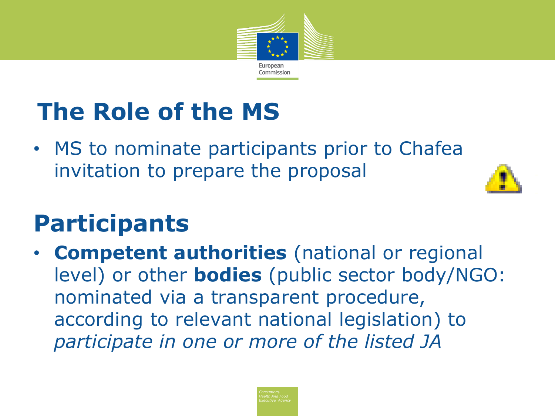

## **The Role of the MS**

• MS to nominate participants prior to Chafea invitation to prepare the proposal



### **Participants**

• **Competent authorities** (national or regional level) or other **bodies** (public sector body/NGO: nominated via a transparent procedure, according to relevant national legislation) to *participate in one or more of the listed JA*

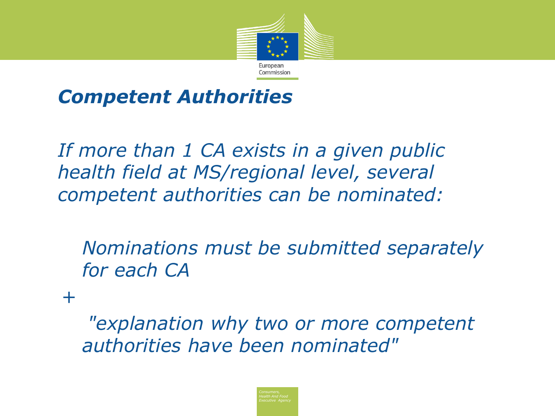

#### • *Competent Authorities*

• *If more than 1 CA exists in a given public health field at MS/regional level, several competent authorities can be nominated:*

*Nominations must be submitted separately for each CA*

*+*

 *"explanation why two or more competent authorities have been nominated"*

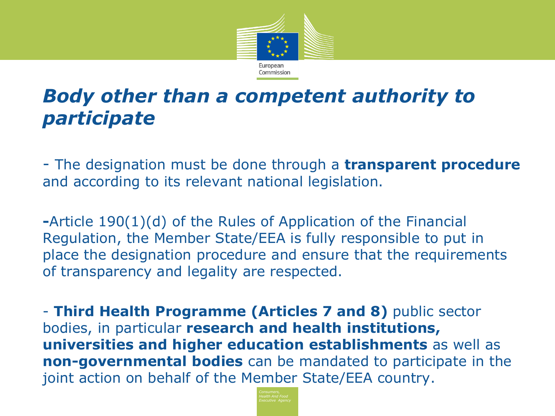

#### *Body other than a competent authority to participate*

- The designation must be done through a **transparent procedure** and according to its relevant national legislation.

**-**Article 190(1)(d) of the Rules of Application of the Financial Regulation, the Member State/EEA is fully responsible to put in place the designation procedure and ensure that the requirements of transparency and legality are respected.

- **Third Health Programme (Articles 7 and 8)** public sector bodies, in particular **research and health institutions, universities and higher education establishments** as well as **non-governmental bodies** can be mandated to participate in the joint action on behalf of the Member State/EEA country.

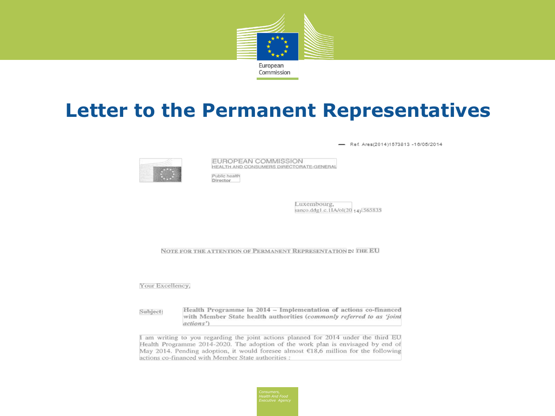

#### **Letter to the Permanent Representatives**

Ref. Ares(2014)1573813-16/05/2014



EUROPEAN COMMISSION HEALTH AND CONSUMERS DIRECTORATE-GENERAL

Public health **Director** 

> Luxembourg, sanco.ddg1.c.1IA/ol(20 14)1565835

NOTE FOR THE ATTENTION OF PERMANENT REPRESENTATION IN THE EU

Your Excellency,

Health Programme in 2014 - Implementation of actions co-financed Subject: with Member State health authorities (commonly referred to as 'joint actions')

I am writing to you regarding the joint actions planned for 2014 under the third EU Health Programme 2014-2020. The adoption of the work plan is envisaged by end of May 2014. Pending adoption, it would foresee almost €18,6 million for the following actions co-financed with Member State authorities :

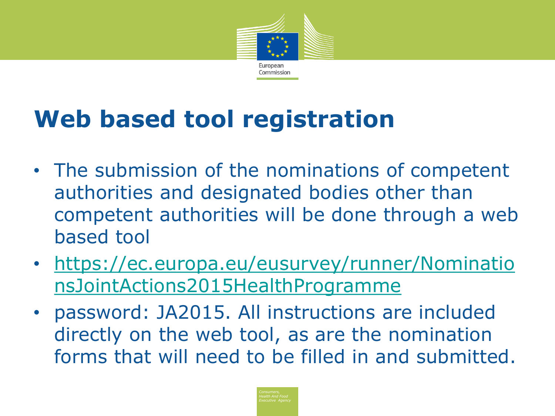

### **Web based tool registration**

- The submission of the nominations of competent authorities and designated bodies other than competent authorities will be done through a web based tool
- [https://ec.europa.eu/eusurvey/runner/Nominatio](https://ec.europa.eu/eusurvey/runner/NominationsJointActions2015HealthProgramme) [nsJointActions2015HealthProgramme](https://ec.europa.eu/eusurvey/runner/NominationsJointActions2015HealthProgramme)
- password: JA2015. All instructions are included directly on the web tool, as are the nomination forms that will need to be filled in and submitted.

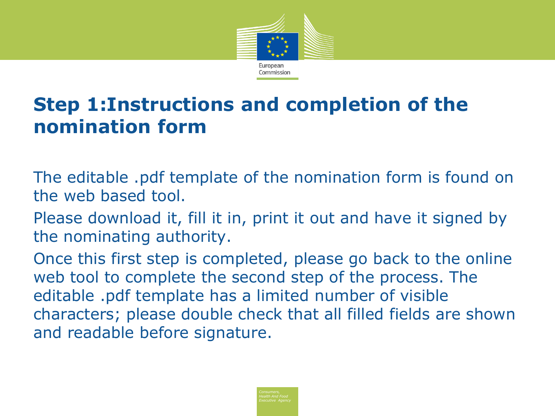

#### **Step 1:Instructions and completion of the nomination form**

The editable .pdf template of the nomination form is found on the web based tool.

Please download it, fill it in, print it out and have it signed by the nominating authority.

Once this first step is completed, please go back to the online web tool to complete the second step of the process. The editable .pdf template has a limited number of visible characters; please double check that all filled fields are shown and readable before signature.

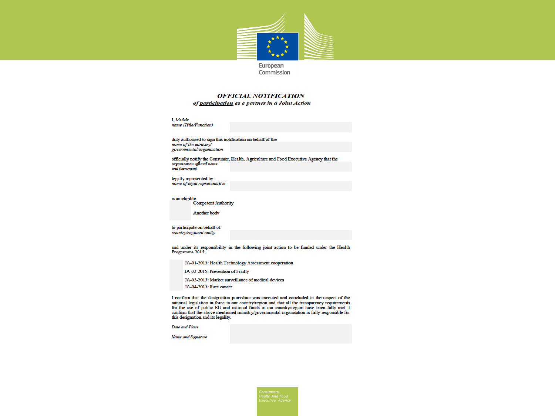

Commission

#### **OFFICIAL NOTIFICATION**

of participation as a partner in a Joint Action

I. Ms/Mr name (Title/Function)

duly authorised to sign this notification on behalf of the name of the ministry/ governmental organisation

officially notify the Consumer, Health, Agriculture and Food Executive Agency that the organisation official name and (acronym)

legally represented by: name of legal representative

is an eligible Competent Authority

Another body

to participate on behalf of country/regional entity

and under its responsibility in the following joint action to be funded under the Health Programme 2015:

JA-01-2015: Health Technology Assessment cooperation

JA-02-2015: Prevention of Frailty

JA-03-2015: Market surveillance of medical devices

JA-04-2015: Rare cancer

I confirm that the designation procedure was executed and concluded in the respect of the national legislation in force in our country/region and that all the transparency requirements for the use of public EU and national funds in our country/region have been fully met. I confirm that the above mentioned ministry/governmental organisation is fully responsible for this designation and its legality.

Date and Place

Name and Signature

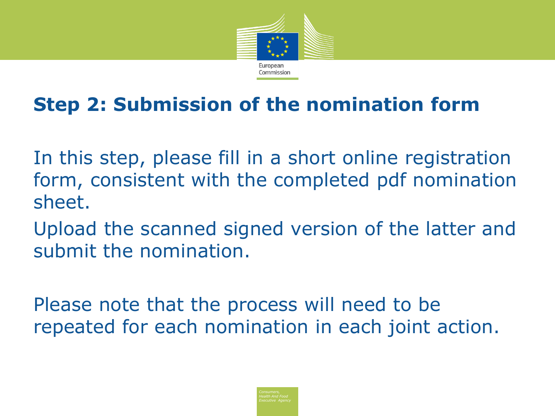

### **Step 2: Submission of the nomination form**

In this step, please fill in a short online registration form, consistent with the completed pdf nomination sheet.

Upload the scanned signed version of the latter and submit the nomination.

Please note that the process will need to be repeated for each nomination in each joint action.

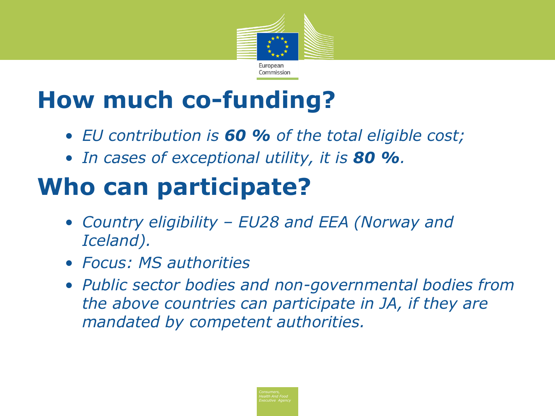

### **How much co-funding?**

- *EU contribution is 60 % of the total eligible cost;*
- *In cases of exceptional utility, it is 80 %.*

### **Who can participate?**

- *Country eligibility – EU28 and EEA (Norway and Iceland).*
- *Focus: MS authorities*
- *Public sector bodies and non-governmental bodies from the above countries can participate in JA, if they are mandated by competent authorities.*

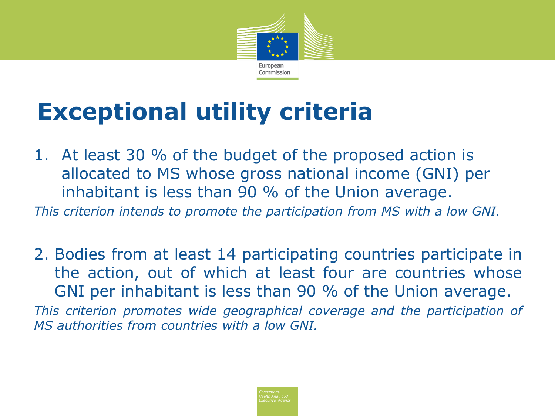

### **Exceptional utility criteria**

1. At least 30 % of the budget of the proposed action is allocated to MS whose gross national income (GNI) per inhabitant is less than 90 % of the Union average.

*This criterion intends to promote the participation from MS with a low GNI.* 

2. Bodies from at least 14 participating countries participate in the action, out of which at least four are countries whose GNI per inhabitant is less than 90 % of the Union average. *This criterion promotes wide geographical coverage and the participation of MS authorities from countries with a low GNI.*

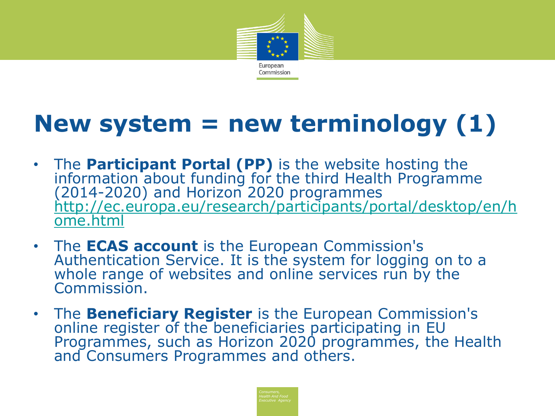

### **New system = new terminology (1)**

- The **Participant Portal (PP)** is the website hosting the information about funding for the third Health Programme (2014-2020) and Horizon 2020 programmes [http://ec.europa.eu/research/participants/portal/desktop/en/h](http://ec.europa.eu/research/participants/portal/desktop/en/home.html) [ome.html](http://ec.europa.eu/research/participants/portal/desktop/en/home.html)
- The **ECAS account** is the European Commission's Authentication Service. It is the system for logging on to a whole range of websites and online services run by the Commission.
- The **Beneficiary Register** is the European Commission's online register of the beneficiaries participating in EU Programmes, such as Horizon 2020 programmes, the Health and Consumers Programmes and others.

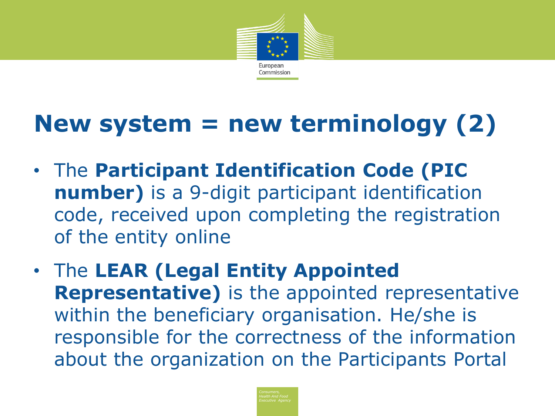

### **New system = new terminology (2)**

- The **Participant Identification Code (PIC number)** is a 9-digit participant identification code, received upon completing the registration of the entity online
- The **LEAR (Legal Entity Appointed Representative)** is the appointed representative within the beneficiary organisation. He/she is responsible for the correctness of the information about the organization on the Participants Portal

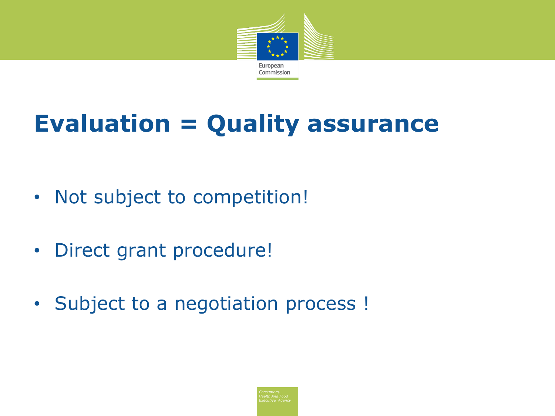

## **Evaluation = Quality assurance**

- Not subject to competition!
- Direct grant procedure!
- Subject to a negotiation process !